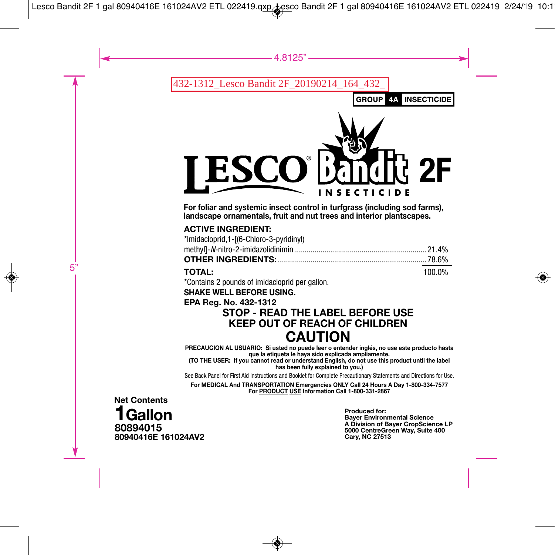32-1312 Lesco Bandit 2F 20190214

**GROUP**  $4A$ 

**INSECTICIDE** 



**For foliar and systemic insect control in turfgrass (including sod farms), landscape ornamentals, fruit and nut trees and interior plantscapes.**

### **ACTIVE INGREDIENT:**

| *Imidacloprid, 1-[(6-Chloro-3-pyridinyl) |        |
|------------------------------------------|--------|
|                                          |        |
|                                          |        |
| <b>TOTAL:</b>                            | 100.0% |

\*Contains 2 pounds of imidacloprid per gallon.

**SHAKE WELL BEFORE USING.**

### **EPA Reg. No. 432-1312**

# **STOP - READ THE LABEL BEFORE USE KEEP OUT OF REACH OF CHILDREN CAUTION**

**PRECAUCION AL USUARIO: Si usted no puede leer o entender inglés, no use este producto hasta que la etiqueta le haya sido explicada ampliamente.**

**(TO THE USER: If you cannot read or understand English, do not use this product until the label has been fully explained to you.)**

See Back Panel for First Aid Instructions and Booklet for Complete Precautionary Statements and Directions for Use.

**For MEDICAL And TRANSPORTATION Emergencies ONLY Call 24 Hours A Day 1-800-334-7577 For PRODUCT USE Information Call 1-800-331-2867**

**80894015 80940416E 161024AV2 Net Contents 1Gallon**

**Produced for: Bayer Environmental Science A Division of Bayer CropScience LP 5000 CentreGreen Way, Suite 400 Cary, NC 27513**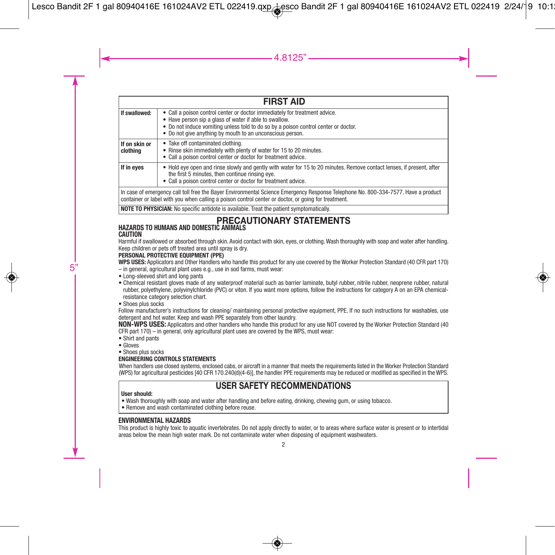| <b>FIRST AID</b>          |                                                                                                                                                                                                                                                                                          |  |  |  |
|---------------------------|------------------------------------------------------------------------------------------------------------------------------------------------------------------------------------------------------------------------------------------------------------------------------------------|--|--|--|
| If swallowed:             | • Call a poison control center or doctor immediately for treatment advice.<br>• Have person sip a glass of water if able to swallow.<br>. Do not induce vomiting unless told to do so by a poison control center or doctor.<br>• Do not give anything by mouth to an unconscious person. |  |  |  |
| If on skin or<br>clothina | • Take off contaminated clothing.<br>• Rinse skin immediately with plenty of water for 15 to 20 minutes.<br>• Call a poison control center or doctor for treatment advice.                                                                                                               |  |  |  |
| If in eves                | • Hold eye open and rinse slowly and gently with water for 15 to 20 minutes. Remove contact lenses, if present, after<br>the first 5 minutes, then continue rinsing eve.<br>• Call a poison control center or doctor for treatment advice.                                               |  |  |  |
|                           | In case of emergency call toll free the Bayer Environmental Science Emergency Response Telephone No. 800-334-7577. Have a product<br>container or label with you when calling a poison control center or doctor, or going for treatment.                                                 |  |  |  |

**NOTE TO PHYSICIAN:** No specific antidote is available. Treat the patient symptomatically.

#### **PRECAUTIONARY STATEMENTS HAZARDS TO HUMANS AND DOMESTIC ANIMALS**

#### **CAUTION**

Harmful if swallowed or absorbed through skin. Avoid contact with skin, eyes, or clothing.Wash thoroughly with soap and water after handling. Keep children or pets off treated area until spray is dry.

#### **PERSONAL PROTECTIVE EQUIPMENT (PPE)**

**WPS USES:** Applicators and Other Handlers who handle this product for any use covered by the Worker Protection Standard (40 CFR part 170)

- in general, agricultural plant uses e.g., use in sod farms, must wear:
- Long-sleeved shirt and long pants
- Chemical resistant gloves made of any waterproof material such as barrier laminate, butyl rubber, nitrile rubber, neoprene rubber, natural rubber, polyethylene, polyvinylchloride (PVC) or viton. If you want more options, follow the instructions for category A on an EPA chemicalresistance category selection chart.
- Shoes plus socks

Follow manufacturer's instructions for cleaning/ maintaining personal protective equipment, PPE. If no such instructions for washables, use detergent and hot water. Keep and wash PPE separately from other laundry.

**NON-WPS USES:** Applicators and other handlers who handle this product for any use NOT covered by the Worker Protection Standard (40 CFR part 170) – in general, only agricultural plant uses are covered by the WPS, must wear:

- Shirt and pants
- Gloves
- Shoes plus socks

#### **ENGINEERING CONTROLS STATEMENTS**

When handlers use closed systems, enclosed cabs, or aircraft in a manner that meets the requirements listed in the Worker Protection Standard (WPS) for agricultural pesticides [40 CFR 170.240(d)(4-6)], the handler PPE requirements may be reduced or modified as specified in the WPS.

### **USER SAFETY RECOMMENDATIONS**

#### **User should:**

- Wash thoroughly with soap and water after handling and before eating, drinking, chewing gum, or using tobacco.
- Remove and wash contaminated clothing before reuse.

#### **ENVIRONMENTAL HAZARDS**

This product is highly toxic to aquatic invertebrates. Do not apply directly to water, or to areas where surface water is present or to intertidal areas below the mean high water mark. Do not contaminate water when disposing of equipment washwaters.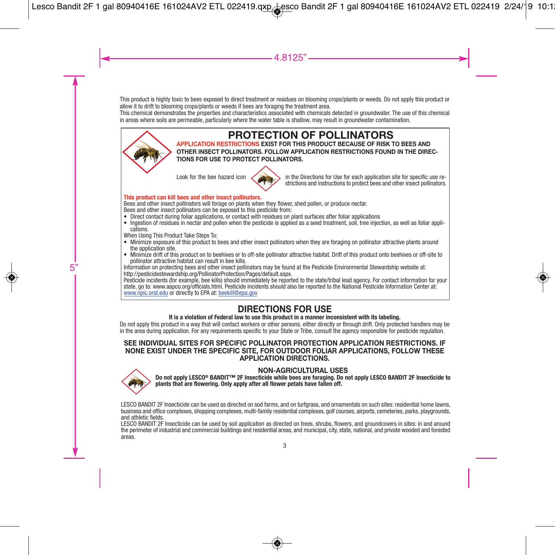This product is highly toxic to bees exposed to direct treatment or residues on blooming crops/plants or weeds. Do not apply this product or allow it to drift to blooming crops/plants or weeds if bees are foraging the treatment area.

This chemical demonstrates the properties and characteristics associated with chemicals detected in groundwater. The use of this chemical in areas where soils are permeable, particularly where the water table is shallow, may result in groundwater contamination.



# **PROTECTION OF POLLINATORS**

**APPLICATION RESTRICTIONS EXIST FOR THIS PRODUCT BECAUSE OF RISK TO BEES AND OTHER INSECT POLLINATORS. FOLLOW APPLICATION RESTRICTIONS FOUND IN THE DIREC-TIONS FOR USE TO PROTECT POLLINATORS.**



Look for the bee hazard icon  $\sim$   $\sim$  in the Directions for Use for each application site for specific use restrictions and instructions to protect bees and other insect pollinators.

#### **This product can kill bees and other insect pollinators.**

Bees and other insect pollinators will forage on plants when they flower, shed pollen, or produce nectar. Bees and other insect pollinators can be exposed to this pesticide from:

- Direct contact during foliar applications, or contact with residues on plant surfaces after foliar applications
- Ingestion of residues in nectar and pollen when the pesticide is applied as a seed treatment, soil, tree injection, as well as foliar applications.

When Using This Product Take Steps To:

- Minimize exposure of this product to bees and other insect pollinators when they are foraging on pollinator attractive plants around the application site.<br>• Minimize drift of this product on to beehives or to off-site pollinator attractive habitat. Drift of this product onto beehives or off-site to
- 

pollinator attractive habitat can result in bee kills.<br>Information on protecting bees and other insect pollinators may be found at the Pesticide Environmental Stewardship website at:<br>Intormation on protecting bees and othe

www.npic.orst.edu or directly to EPA at: beekill@epa.gov

# **DIRECTIONS FOR USE**

#### **It is a violation of Federal law to use this product in a manner inconsistent with its labeling.**

Do not apply this product in a way that will contact workers or other persons, either directly or through drift. Only protected handlers may be in the area during application. For any requirements specific to your State or Tribe, consult the agency responsible for pesticide regulation.

#### **SEE INDIVIDUAL SITES FOR SPECIFIC POLLINATOR PROTECTION APPLICATION RESTRICTIONS. IF NONE EXIST UNDER THE SPECIFIC SITE, FOR OUTDOOR FOLIAR APPLICATIONS, FOLLOW THESE APPLICATION DIRECTIONS.**



NON-AGRICULTURAL USES<br>Do not apply LESCO® BANDIT™ 2F Insecticide while bees are foraging. Do not apply LESCO BANDIT 2F Insecticide to<br>plants that are flowering. Only apply after all flower petals have fallen off.

LESCO BANDIT 2F Insecticide can be used as directed on sod farms, and on turfgrass, and ornamentals on such sites: residential home lawns,<br>business and office complexes, shopping complexes, multi-family residential complex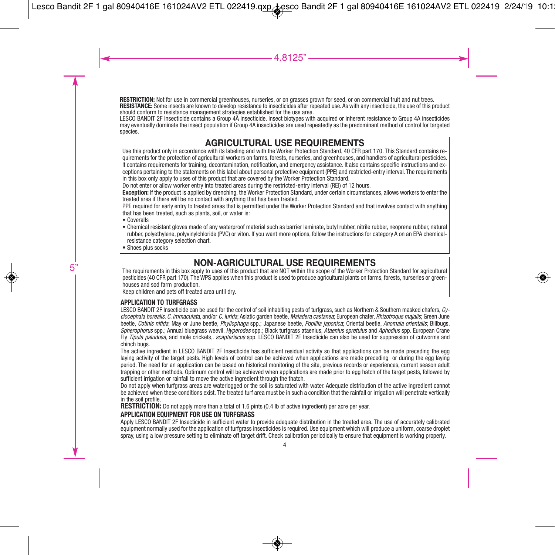**RESTRICTION:** Not for use in commercial greenhouses, nurseries, or on grasses grown for seed, or on commercial fruit and nut trees. **RESISTANCE:** Some insects are known to develop resistance to insecticides after repeated use. As with any insecticide, the use of this product should conform to resistance management strategies established for the use area.

LESCO BANDIT 2F Insecticide contains a Group 4A insecticide. Insect biotypes with acquired or inherent resistance to Group 4A insecticides may eventually dominate the insect population if Group 4A insecticides are used repeatedly as the predominant method of control for targeted species.

# **AGRICULTURAL USE REQUIREMENTS**

Use this product only in accordance with its labeling and with the Worker Protection Standard, 40 CFR part 170. This Standard contains requirements for the protection of agricultural workers on farms, forests, nurseries, and greenhouses, and handlers of agricultural pesticides. It contains requirements for training, decontamination, notification, and emergency assistance. It also contains specific instructions and exceptions pertaining to the statements on this label about personal protective equipment (PPE) and restricted-entry interval. The requirements in this box only apply to uses of this product that are covered by the Worker Protection Standard.

Do not enter or allow worker entry into treated areas during the restricted-entry interval (REI) of 12 hours.

**Exception:** If the product is applied by drenching, the Worker Protection Standard, under certain circumstances, allows workers to enter the treated area if there will be no contact with anything that has been treated.

PPE required for early entry to treated areas that is permitted under the Worker Protection Standard and that involves contact with anything that has been treated, such as plants, soil, or water is:

- Coveralls
- Chemical resistant gloves made of any waterproof material such as barrier laminate, butyl rubber, nitrile rubber, neoprene rubber, natural rubber, polyethylene, polyvinylchloride (PVC) or viton. If you want more options, follow the instructions for category A on an EPA chemicalresistance category selection chart.
- Shoes plus socks

# **NON-AGRICULTURAL USE REQUIREMENTS**

The requirements in this box apply to uses of this product that are NOT within the scope of the Worker Protection Standard for agricultural pesticides (40 CFR part 170). The WPS applies when this product is used to produce agricultural plants on farms, forests, nurseries or greenhouses and sod farm production.

Keep children and pets off treated area until dry.

#### **APPLICATION TO TURFGRASS**

LESCO BANDIT 2F Insecticide can be used for the control of soil inhabiting pests of turfgrass, such as Northern & Southern masked chafers, *Cyclocephala borealis*, *C. immaculata*, and/or *C. lurida*; Asiatic garden beetle, *Maladera castanea*; European chafer, *Rhizotroqus majalis*; Green June beetle, *Cotinis nitida*; May or June beetle, *Phyllophaga* spp.; Japanese beetle, *Popillia japonica*; Oriental beetle, *Anomala orientalis*; Billbugs, *Spherophorus* spp.; Annual bluegrass weevil, *Hyperodes* spp.; Black turfgrass ataenius, *Ataenius spretulus* and *Aphodius* spp. European Crane Fly *Tipula paludosa*, and mole crickets,. *scapteriscus* spp. LESCO BANDIT 2F Insecticide can also be used for suppression of cutworms and chinch bugs.

The active ingredient in LESCO BANDIT 2F Insecticide has sufficient residual activity so that applications can be made preceding the egg laying activity of the target pests. High levels of control can be achieved when applications are made preceding or during the egg laying period. The need for an application can be based on historical monitoring of the site, previous records or experiences, current season adult trapping or other methods. Optimum control will be achieved when applications are made prior to egg hatch of the target pests, followed by sufficient irrigation or rainfall to move the active ingredient through the thatch.

Do not apply when turfgrass areas are waterlogged or the soil is saturated with water. Adequate distribution of the active ingredient cannot be achieved when these conditions exist. The treated turf area must be in such a condition that the rainfall or irrigation will penetrate vertically in the soil profile.

**RESTRICTION:** Do not apply more than a total of 1.6 pints (0.4 lb of active ingredient) per acre per year.

#### **APPLICATION EQUIPMENT FOR USE ON TURFGRASS**

Apply LESCO BANDIT 2F Insecticide in sufficient water to provide adequate distribution in the treated area. The use of accurately calibrated equipment normally used for the application of turfgrass insecticides is required. Use equipment which will produce a uniform, coarse droplet spray, using a low pressure setting to eliminate off target drift. Check calibration periodically to ensure that equipment is working properly.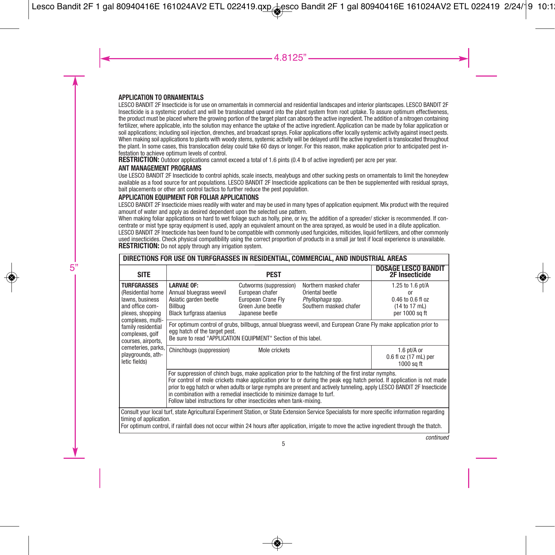#### **APPLICATION TO ORNAMENTALS**

LESCO BANDIT 2F Insecticide is for use on ornamentals in commercial and residential landscapes and interior plantscapes. LESCO BANDIT 2F Insecticide is a systemic product and will be translocated upward into the plant system from root uptake. To assure optimum effectiveness, the product must be placed where the growing portion of the target plant can absorb the active ingredient. The addition of a nitrogen containing fertilizer, where applicable, into the solution may enhance the uptake of the active ingredient. Application can be made by foliar application or soil applications; including soil injection, drenches, and broadcast sprays. Foliar applications offer locally systemic activity against insect pests. When making soil applications to plants with woody stems, systemic activity will be delayed until the active ingredient is translocated throughout the plant. In some cases, this translocation delay could take 60 days or longer. For this reason, make application prior to anticipated pest infestation to achieve optimum levels of control.

**RESTRICTION:** Outdoor applications cannot exceed a total of 1.6 pints (0.4 lb of active ingredient) per acre per year.

#### **ANT MANAGEMENT PROGRAMS**

Use LESCO BANDIT 2F Insecticide to control aphids, scale insects, mealybugs and other sucking pests on ornamentals to limit the honeydew available as a food source for ant populations. LESCO BANDIT 2F Insecticide applications can be then be supplemented with residual sprays, bait placements or other ant control tactics to further reduce the pest population.

#### **APPLICATION EQUIPMENT FOR FOLIAR APPLICATIONS**

LESCO BANDIT 2F Insecticide mixes readily with water and may be used in many types of application equipment. Mix product with the required amount of water and apply as desired dependent upon the selected use pattern.

When making foliar applications on hard to wet foliage such as holly, pine, or ivy, the addition of a spreader/ sticker is recommended. If concentrate or mist type spray equipment is used, apply an equivalent amount on the area sprayed, as would be used in a dilute application. LESCO BANDIT 2F Insecticide has been found to be compatible with commonly used fungicides, miticides, liquid fertilizers, and other commonly used insecticides. Check physical compatibility using the correct proportion of products in a small jar test if local experience is unavailable. **RESTRICTION:** Do not apply through any irrigation system.

| DIRECTIONS FOR USE ON TURFGRASSES IN RESIDENTIAL, COMMERCIAL, AND INDUSTRIAL AREAS                |                                                                                                                                                                                                                      |                                                                                                         |                                                                                                                                               |                                                                                                                                                                                                                                                   |
|---------------------------------------------------------------------------------------------------|----------------------------------------------------------------------------------------------------------------------------------------------------------------------------------------------------------------------|---------------------------------------------------------------------------------------------------------|-----------------------------------------------------------------------------------------------------------------------------------------------|---------------------------------------------------------------------------------------------------------------------------------------------------------------------------------------------------------------------------------------------------|
| <b>SITE</b>                                                                                       |                                                                                                                                                                                                                      | <b>PEST</b>                                                                                             |                                                                                                                                               | <b>DOSAGE LESCO BANDIT</b><br>2F Insecticide                                                                                                                                                                                                      |
| <b>TURFGRASSES</b><br>(Residential home<br>lawns, business<br>and office com-<br>plexes, shopping | <b>LARVAE OF:</b><br>Annual bluegrass weevil<br>Asiatic garden beetle<br>Billbua<br><b>Black turfgrass ataenius</b>                                                                                                  | Cutworms (suppression)<br>European chafer<br>European Crane Flv<br>Green June beetle<br>Japanese beetle | Northern masked chafer<br>Oriental beetle<br>Phyllophaga spp.<br>Southern masked chafer                                                       | 1.25 to 1.6 pt/A<br><sub>0r</sub><br>0.46 to 0.6 fl oz<br>(14 to 17 mL)<br>per 1000 sq ft                                                                                                                                                         |
| complexes, multi-<br>family residential<br>complexes, golf<br>courses, airports,                  | For optimum control of grubs, billbugs, annual bluegrass weevil, and European Crane Fly make application prior to<br>egg hatch of the target pest.<br>Be sure to read "APPLICATION EQUIPMENT" Section of this label. |                                                                                                         |                                                                                                                                               |                                                                                                                                                                                                                                                   |
| cemeteries, parks,<br>playgrounds, ath-<br>letic fields)                                          | Chinchbugs (suppression)                                                                                                                                                                                             | Mole crickets                                                                                           |                                                                                                                                               | 1.6 pt/A or<br>0.6 fl oz (17 mL) per<br>1000 sa ft                                                                                                                                                                                                |
|                                                                                                   | in combination with a remedial insecticide to minimize damage to turf.<br>Follow label instructions for other insecticides when tank-mixing.                                                                         |                                                                                                         | For suppression of chinch bugs, make application prior to the hatching of the first instar nymphs.                                            | For control of mole crickets make application prior to or during the peak egg hatch period. If application is not made<br>prior to egg hatch or when adults or large nymphs are present and actively tunneling, apply LESCO BANDIT 2F Insecticide |
| timing of application.                                                                            |                                                                                                                                                                                                                      |                                                                                                         | For optimum control, if rainfall does not occur within 24 hours after application, irrigate to move the active ingredient through the thatch. | Consult your local turf, state Agricultural Experiment Station, or State Extension Service Specialists for more specific information regarding                                                                                                    |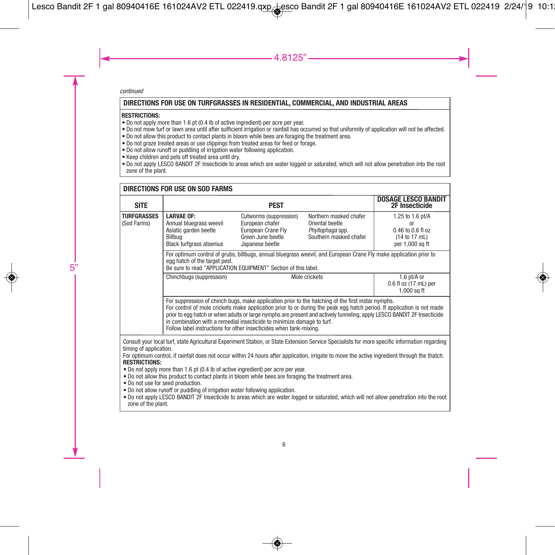#### **DIRECTIONS FOR USE ON TURFGRASSES IN RESIDENTIAL, COMMERCIAL, AND INDUSTRIAL AREAS**

#### **RESTRICTIONS:**

- Do not apply more than 1.6 pt (0.4 lb of active ingredient) per acre per year.
- Do not mow turf or lawn area until after sufficient irrigation or rainfall has occurred so that uniformity of application will not be affected.
- Do not allow this product to contact plants in bloom while bees are foraging the treatment area.
- Do not graze treated areas or use clippings from treated areas for feed or forage.
- Do not allow runoff or puddling of irrigation water following application.
- Keep children and pets off treated area until dry.
- Do not apply LESCO BANDIT 2F Insecticide to areas which are water logged or saturated, which will not allow penetration into the root zone of the plant.

#### **TURFGRASSES** (Sod Farms) **LARVAE OF:** Annual bluegrass weevil Asiatic garden beetle Billbug Black turfgrass ataenius Cutworms (suppression) European chafer European Crane Fly Green June beetle Japanese beetle Mole crickets 1.25 to 1.6 pt/A or 0.46 to 0.6 fl oz  $(14 \text{ to } 17 \text{ ml})$ per 1,000 sq ft For optimum control of grubs, billbugs, annual bluegrass weevil, and European Crane Fly make application prior to egg hatch of the target pest. Be sure to read "APPLICATION EQUIPMENT" Section of this label. Chinchbugs (suppression) The Mole crickets The Mole of the Mole of the Mole of the Mole of the Mole of the Mole of the Mole of the Mole of the Mole of the Mole of the Mole of the Mole of the Mole of the Mole of the Mole of 0.6 fl oz (17 mL) per 1,000 sq ft For suppression of chinch bugs, make application prior to the hatching of the first instar nymphs. For control of mole crickets make application prior to or during the peak egg hatch period. If application is not made prior to egg hatch or when adults or large nymphs are present and actively tunneling, apply LESCO BANDIT 2F Insecticide in combination with a remedial insecticide to minimize damage to turf. Follow label instructions for other insecticides when tank-mixing. **DIRECTIONS FOR USE ON SOD FARMS PEST DOSAGE LESCO BANDIT 2F Insecticide** Northern masked chafer Oriental beetle *Phyllophaga* spp. Southern masked chafer **SITE** Consult your local turf, state Agricultural Experiment Station, or State Extension Service Specialists for more specific information regarding timing of application. For optimum control, if rainfall does not occur within 24 hours after application, irrigate to move the active ingredient through the thatch. **RESTRICTIONS:** • Do not apply more than 1.6 pt (0.4 lb of active ingredient) per acre per year. • Do not allow this product to contact plants in bloom while bees are foraging the treatment area. • Do not use for seed production. • Do not allow runoff or puddling of irrigation water following application. • Do not apply LESCO BANDIT 2F Insecticide to areas which are water logged or saturated, which will not allow penetration into the root zone of the plant.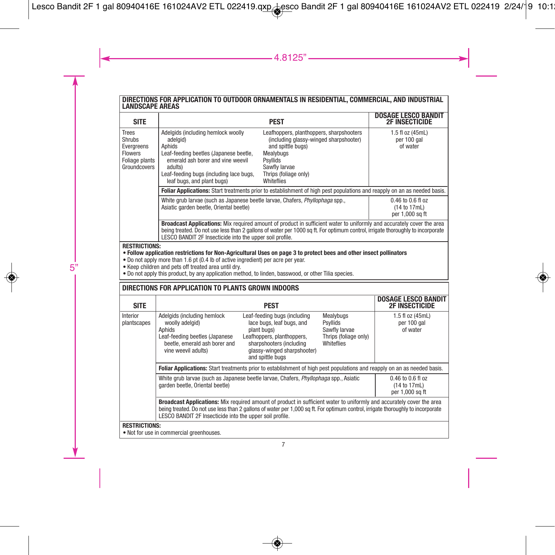# **DIRECTIONS FOR APPLICATION TO OUTDOOR ORNAMENTALS IN RESIDENTIAL, COMMERCIAL, AND INDUSTRIAL LANDSCAPE AREAS**

| <b>SITE</b>                                                                                                                                                                                                                                                                                                                                                                                    |                                                                                                                                                                                                                                                                                                                                                                                                                                                                                                                                                            | <b>PEST</b>                                                                                                                                                                           |                                                                               | <b>DOSAGE LESCO BANDIT</b><br><b>2F INSECTICIDE</b>      |  |  |
|------------------------------------------------------------------------------------------------------------------------------------------------------------------------------------------------------------------------------------------------------------------------------------------------------------------------------------------------------------------------------------------------|------------------------------------------------------------------------------------------------------------------------------------------------------------------------------------------------------------------------------------------------------------------------------------------------------------------------------------------------------------------------------------------------------------------------------------------------------------------------------------------------------------------------------------------------------------|---------------------------------------------------------------------------------------------------------------------------------------------------------------------------------------|-------------------------------------------------------------------------------|----------------------------------------------------------|--|--|
| <b>Trees</b><br><b>Shrubs</b><br>Evergreens<br><b>Flowers</b><br>Foliage plants<br>Groundcovers                                                                                                                                                                                                                                                                                                | Adelgids (including hemlock woolly<br>Leafhoppers, planthoppers, sharpshooters<br>(including glassy-winged sharpshooter)<br>adelaid)<br>and spittle bugs)<br>Aphids<br>Leaf-feeding beetles (Japanese beetle,<br>Mealvbugs<br>emerald ash borer and vine weevil<br><b>Psyllids</b><br>Sawfly larvae<br>adults)<br>Leaf-feeding bugs (including lace bugs,<br>Thrips (foliage only)<br>leaf bugs, and plant bugs)<br>Whiteflies<br>Foliar Applications: Start treatments prior to establishment of high pest populations and reapply on an as needed basis. |                                                                                                                                                                                       |                                                                               | 1.5 fl oz (45mL)<br>per 100 gal<br>of water              |  |  |
|                                                                                                                                                                                                                                                                                                                                                                                                |                                                                                                                                                                                                                                                                                                                                                                                                                                                                                                                                                            |                                                                                                                                                                                       |                                                                               |                                                          |  |  |
|                                                                                                                                                                                                                                                                                                                                                                                                | White grub larvae (such as Japanese beetle larvae, Chafers, Phyllophaga spp.,<br>Asiatic garden beetle, Oriental beetle)                                                                                                                                                                                                                                                                                                                                                                                                                                   | $0.46$ to $0.6$ fl oz<br>(14 to 17mL)<br>per 1,000 sq ft                                                                                                                              |                                                                               |                                                          |  |  |
|                                                                                                                                                                                                                                                                                                                                                                                                | Broadcast Applications: Mix required amount of product in sufficient water to uniformly and accurately cover the area<br>being treated. Do not use less than 2 gallons of water per 1000 sq ft. For optimum control, irrigate thoroughly to incorporate<br>LESCO BANDIT 2F Insecticide into the upper soil profile.                                                                                                                                                                                                                                        |                                                                                                                                                                                       |                                                                               |                                                          |  |  |
| <b>RESTRICTIONS:</b><br>. Follow application restrictions for Non-Agricultural Uses on page 3 to protect bees and other insect pollinators<br>. Do not apply more than 1.6 pt (0.4 lb of active ingredient) per acre per year.<br>• Keep children and pets off treated area until dry.<br>. Do not apply this product, by any application method, to linden, basswood, or other Tilia species. |                                                                                                                                                                                                                                                                                                                                                                                                                                                                                                                                                            |                                                                                                                                                                                       |                                                                               |                                                          |  |  |
| DIRECTIONS FOR APPLICATION TO PLANTS GROWN INDOORS                                                                                                                                                                                                                                                                                                                                             |                                                                                                                                                                                                                                                                                                                                                                                                                                                                                                                                                            |                                                                                                                                                                                       |                                                                               |                                                          |  |  |
| <b>SITE</b>                                                                                                                                                                                                                                                                                                                                                                                    |                                                                                                                                                                                                                                                                                                                                                                                                                                                                                                                                                            | <b>PEST</b>                                                                                                                                                                           |                                                                               | <b>DOSAGE LESCO BANDIT</b><br><b>2F INSECTICIDE</b>      |  |  |
| Interior<br>plantscapes                                                                                                                                                                                                                                                                                                                                                                        | Adelgids (including hemlock<br>woolly adelgid)<br>Aphids<br>Leaf-feeding beetles (Japanese<br>beetle, emerald ash borer and<br>vine weevil adults)                                                                                                                                                                                                                                                                                                                                                                                                         | Leaf-feeding bugs (including<br>lace bugs, leaf bugs, and<br>plant bugs)<br>Leafhoppers, planthoppers,<br>sharpshooters (including<br>glassy-winged sharpshooter)<br>and spittle bugs | Mealybugs<br>Psyllids<br>Sawfly larvae<br>Thrips (foliage only)<br>Whiteflies | 1.5 fl oz (45mL)<br>per 100 gal<br>of water              |  |  |
|                                                                                                                                                                                                                                                                                                                                                                                                | Foliar Applications: Start treatments prior to establishment of high pest populations and reapply on an as needed basis.                                                                                                                                                                                                                                                                                                                                                                                                                                   |                                                                                                                                                                                       |                                                                               |                                                          |  |  |
|                                                                                                                                                                                                                                                                                                                                                                                                | White grub larvae (such as Japanese beetle larvae, Chafers, Phyllophaga spp., Asiatic<br>garden beetle, Oriental beetle)                                                                                                                                                                                                                                                                                                                                                                                                                                   |                                                                                                                                                                                       |                                                                               | $0.46$ to $0.6$ fl oz<br>(14 to 17mL)<br>per 1,000 sq ft |  |  |
|                                                                                                                                                                                                                                                                                                                                                                                                | Broadcast Applications: Mix required amount of product in sufficient water to uniformly and accurately cover the area<br>being treated. Do not use less than 2 gallons of water per 1,000 sq ft. For optimum control, irrigate thoroughly to incorporate<br>LESCO BANDIT 2F Insecticide into the upper soil profile.                                                                                                                                                                                                                                       |                                                                                                                                                                                       |                                                                               |                                                          |  |  |
| <b>RESTRICTIONS:</b>                                                                                                                                                                                                                                                                                                                                                                           | . Not for use in commercial greenhouses.                                                                                                                                                                                                                                                                                                                                                                                                                                                                                                                   |                                                                                                                                                                                       |                                                                               |                                                          |  |  |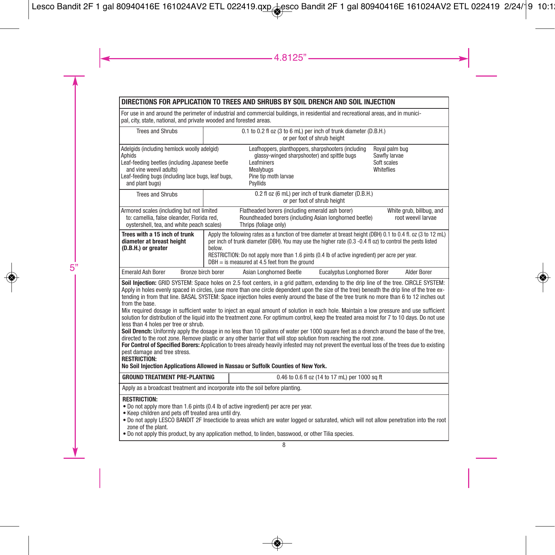### **DIRECTIONS FOR APPLICATION TO TREES AND SHRUBS BY SOIL DRENCH AND SOIL INJECTION**

For use in and around the perimeter of industrial and commercial buildings, in residential and recreational areas, and in munici-pal, city, state, national, and private wooded and forested areas.

| <b>Trees and Shrubs</b>                                                                                                                                                                                                                                                                                                                                                                                                                                                                                                                                                                                                                                                                                                                                                                                                                                                                                                                                                                                                                                                                                                                                                                                                                                                                                                                                    | 0.1 to 0.2 fl oz (3 to 6 mL) per inch of trunk diameter (D.B.H.)<br>or per foot of shrub height |                                                                                                                                                                                                                                                                                                                                                                                   |                                                |                                                                     |
|------------------------------------------------------------------------------------------------------------------------------------------------------------------------------------------------------------------------------------------------------------------------------------------------------------------------------------------------------------------------------------------------------------------------------------------------------------------------------------------------------------------------------------------------------------------------------------------------------------------------------------------------------------------------------------------------------------------------------------------------------------------------------------------------------------------------------------------------------------------------------------------------------------------------------------------------------------------------------------------------------------------------------------------------------------------------------------------------------------------------------------------------------------------------------------------------------------------------------------------------------------------------------------------------------------------------------------------------------------|-------------------------------------------------------------------------------------------------|-----------------------------------------------------------------------------------------------------------------------------------------------------------------------------------------------------------------------------------------------------------------------------------------------------------------------------------------------------------------------------------|------------------------------------------------|---------------------------------------------------------------------|
| Adelaids (including hemlock woolly adelaid)<br>Aphids<br>Leaf-feeding beetles (including Japanese beetle<br>and vine weevil adults)<br>Leaf-feeding bugs (including lace bugs, leaf bugs,<br>and plant bugs)                                                                                                                                                                                                                                                                                                                                                                                                                                                                                                                                                                                                                                                                                                                                                                                                                                                                                                                                                                                                                                                                                                                                               |                                                                                                 | Leafhoppers, planthoppers, sharpshooters (including<br>glassy-winged sharpshooter) and spittle bugs<br>Leafminers<br><b>Mealvbugs</b><br>Pine tip moth larvae<br>Psyllids                                                                                                                                                                                                         |                                                | Royal palm bug<br>Sawfly larvae<br>Soft scales<br><b>Whiteflies</b> |
| <b>Trees and Shrubs</b>                                                                                                                                                                                                                                                                                                                                                                                                                                                                                                                                                                                                                                                                                                                                                                                                                                                                                                                                                                                                                                                                                                                                                                                                                                                                                                                                    |                                                                                                 | 0.2 fl oz (6 mL) per inch of trunk diameter (D.B.H.)<br>or per foot of shrub height                                                                                                                                                                                                                                                                                               |                                                |                                                                     |
| Armored scales (including but not limited<br>to: camellia, false oleander, Florida red,<br>oystershell, tea, and white peach scales)                                                                                                                                                                                                                                                                                                                                                                                                                                                                                                                                                                                                                                                                                                                                                                                                                                                                                                                                                                                                                                                                                                                                                                                                                       |                                                                                                 | Flatheaded borers (including emerald ash borer)<br>Roundheaded borers (including Asian longhorned beetle)<br>Thrips (foliage only)                                                                                                                                                                                                                                                |                                                | White arub, billbug, and<br>root weevil larvae                      |
| Trees with a 15 inch of trunk<br>diameter at breast height<br>(D.B.H.) or greater                                                                                                                                                                                                                                                                                                                                                                                                                                                                                                                                                                                                                                                                                                                                                                                                                                                                                                                                                                                                                                                                                                                                                                                                                                                                          | below.                                                                                          | Apply the following rates as a function of tree diameter at breast height (DBH) 0.1 to 0.4 fl. oz (3 to 12 mL)<br>per inch of trunk diameter (DBH). You may use the higher rate (0.3 -0.4 fl oz) to control the pests listed<br>RESTRICTION: Do not apply more than 1.6 pints (0.4 lb of active ingredient) per acre per year.<br>$DBH =$ is measured at 4.5 feet from the ground |                                                |                                                                     |
| <b>Emerald Ash Borer</b><br>Bronze birch borer                                                                                                                                                                                                                                                                                                                                                                                                                                                                                                                                                                                                                                                                                                                                                                                                                                                                                                                                                                                                                                                                                                                                                                                                                                                                                                             |                                                                                                 | Asian Longhorned Beetle                                                                                                                                                                                                                                                                                                                                                           | <b>Eucalyptus Longhorned Borer</b>             | Alder Borer                                                         |
| Soil Injection: GRID SYSTEM: Space holes on 2.5 foot centers, in a grid pattern, extending to the drip line of the tree. CIRCLE SYSTEM:<br>Apply in holes evenly spaced in circles, (use more than one circle dependent upon the size of the tree) beneath the drip line of the tree ex-<br>tending in from that line. BASAL SYSTEM: Space injection holes evenly around the base of the tree trunk no more than 6 to 12 inches out<br>from the base.<br>Mix required dosage in sufficient water to inject an equal amount of solution in each hole. Maintain a low pressure and use sufficient<br>solution for distribution of the liquid into the treatment zone. For optimum control, keep the treated area moist for 7 to 10 days. Do not use<br>less than 4 holes per tree or shrub.<br>Soil Drench: Uniformly apply the dosage in no less than 10 gallons of water per 1000 square feet as a drench around the base of the tree,<br>directed to the root zone. Remove plastic or any other barrier that will stop solution from reaching the root zone.<br>For Control of Specified Borers: Application to trees already heavily infested may not prevent the eventual loss of the trees due to existing<br>pest damage and tree stress.<br><b>RESTRICTION:</b><br>No Soil Injection Applications Allowed in Nassau or Suffolk Counties of New York. |                                                                                                 |                                                                                                                                                                                                                                                                                                                                                                                   |                                                |                                                                     |
| <b>GROUND TREATMENT PRE-PLANTING</b>                                                                                                                                                                                                                                                                                                                                                                                                                                                                                                                                                                                                                                                                                                                                                                                                                                                                                                                                                                                                                                                                                                                                                                                                                                                                                                                       |                                                                                                 |                                                                                                                                                                                                                                                                                                                                                                                   | 0.46 to 0.6 fl oz (14 to 17 mL) per 1000 sq ft |                                                                     |
| Apply as a broadcast treatment and incorporate into the soil before planting.                                                                                                                                                                                                                                                                                                                                                                                                                                                                                                                                                                                                                                                                                                                                                                                                                                                                                                                                                                                                                                                                                                                                                                                                                                                                              |                                                                                                 |                                                                                                                                                                                                                                                                                                                                                                                   |                                                |                                                                     |
| <b>RESTRICTION:</b><br>. Do not apply more than 1.6 pints (0.4 lb of active ingredient) per acre per year.<br>• Keep children and pets off treated area until drv.<br>. Do not apply LESCO BANDIT 2F Insecticide to areas which are water logged or saturated, which will not allow penetration into the root<br>zone of the plant.<br>• Do not apply this product, by any application method, to linden, basswood, or other Tilia species.                                                                                                                                                                                                                                                                                                                                                                                                                                                                                                                                                                                                                                                                                                                                                                                                                                                                                                                |                                                                                                 |                                                                                                                                                                                                                                                                                                                                                                                   |                                                |                                                                     |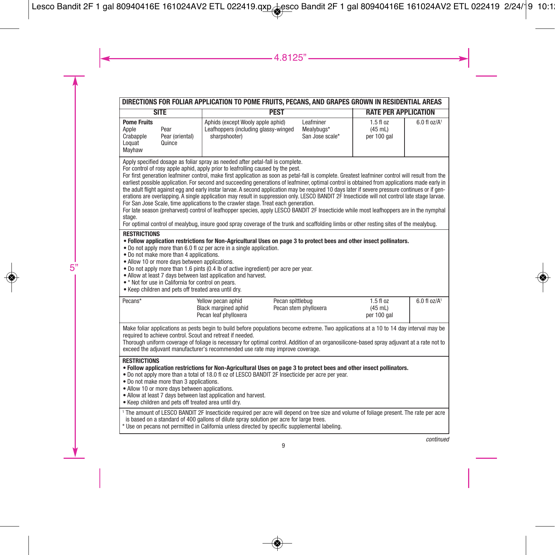| DIRECTIONS FOR FOLIAR APPLICATION TO POME FRUITS, PECANS, AND GRAPES GROWN IN RESIDENTIAL AREAS                                                                                                                                                                                                                                                                                                                                                                                                                                                                                                                                                                                                                                                                                                                                                                                                                                                                                                                                                                                                                                                                     |                                                                                                                                                                                                                                                                                                                                                  |                                            |                                           |                              |  |
|---------------------------------------------------------------------------------------------------------------------------------------------------------------------------------------------------------------------------------------------------------------------------------------------------------------------------------------------------------------------------------------------------------------------------------------------------------------------------------------------------------------------------------------------------------------------------------------------------------------------------------------------------------------------------------------------------------------------------------------------------------------------------------------------------------------------------------------------------------------------------------------------------------------------------------------------------------------------------------------------------------------------------------------------------------------------------------------------------------------------------------------------------------------------|--------------------------------------------------------------------------------------------------------------------------------------------------------------------------------------------------------------------------------------------------------------------------------------------------------------------------------------------------|--------------------------------------------|-------------------------------------------|------------------------------|--|
| <b>SITE</b>                                                                                                                                                                                                                                                                                                                                                                                                                                                                                                                                                                                                                                                                                                                                                                                                                                                                                                                                                                                                                                                                                                                                                         | <b>PEST</b><br><b>RATE PER APPLICATION</b>                                                                                                                                                                                                                                                                                                       |                                            |                                           |                              |  |
| <b>Pome Fruits</b><br>Apple<br>Pear<br>Crabapple<br>Pear (oriental)<br>Loquat<br>Quince<br>Mayhaw                                                                                                                                                                                                                                                                                                                                                                                                                                                                                                                                                                                                                                                                                                                                                                                                                                                                                                                                                                                                                                                                   | Aphids (except Wooly apple aphid)<br>Leafhoppers (including glassy-winged<br>sharpshooter)                                                                                                                                                                                                                                                       | Leafminer<br>Mealvbugs*<br>San Jose scale* | $1.5$ fl $oz$<br>$(45$ mL)<br>per 100 gal | $6.0$ fl $oz/A$ <sup>1</sup> |  |
| Apply specified dosage as foliar spray as needed after petal-fall is complete.<br>For control of rosy apple aphid, apply prior to leafrolling caused by the pest.<br>For first generation leafminer control, make first application as soon as petal-fall is complete. Greatest leafminer control will result from the<br>earliest possible application. For second and succeeding generations of leafminer, optimal control is obtained from applications made early in<br>the adult flight against egg and early instar larvae. A second application may be required 10 days later if severe pressure continues or if gen-<br>erations are overlapping. A single application may result in suppression only. LESCO BANDIT 2F Insecticide will not control late stage larvae.<br>For San Jose Scale, time applications to the crawler stage. Treat each generation.<br>For late season (preharvest) control of leafhopper species, apply LESCO BANDIT 2F Insecticide while most leafhoppers are in the nymphal<br>stage.<br>For optimal control of mealybug, insure good spray coverage of the trunk and scaffolding limbs or other resting sites of the mealybug. |                                                                                                                                                                                                                                                                                                                                                  |                                            |                                           |                              |  |
| <b>RESTRICTIONS</b><br>. Follow application restrictions for Non-Agricultural Uses on page 3 to protect bees and other insect pollinators.<br>. Do not apply more than 6.0 fl oz per acre in a single application.<br>. Do not make more than 4 applications.<br>• Allow 10 or more days between applications.<br>. Do not apply more than 1.6 pints (0.4 lb of active ingredient) per acre per year.<br>. Allow at least 7 days between last application and harvest.<br>• * Not for use in California for control on pears.<br>. Keep children and pets off treated area until dry.                                                                                                                                                                                                                                                                                                                                                                                                                                                                                                                                                                               |                                                                                                                                                                                                                                                                                                                                                  |                                            |                                           |                              |  |
| Pecans*                                                                                                                                                                                                                                                                                                                                                                                                                                                                                                                                                                                                                                                                                                                                                                                                                                                                                                                                                                                                                                                                                                                                                             | Yellow pecan aphid<br>Pecan spittlebug<br>Black margined aphid<br>Pecan leaf phylloxera                                                                                                                                                                                                                                                          | Pecan stem phylloxera                      | $1.5f1$ oz<br>$(45$ mL)<br>per 100 gal    | $6.0$ fl oz/A <sup>1</sup>   |  |
| Make foliar applications as pests begin to build before populations become extreme. Two applications at a 10 to 14 day interval may be<br>required to achieve control. Scout and retreat if needed.<br>Thorough uniform coverage of foliage is necessary for optimal control. Addition of an organosilicone-based spray adjuvant at a rate not to<br>exceed the adjuvant manufacturer's recommended use rate may improve coverage.                                                                                                                                                                                                                                                                                                                                                                                                                                                                                                                                                                                                                                                                                                                                  |                                                                                                                                                                                                                                                                                                                                                  |                                            |                                           |                              |  |
| <b>RESTRICTIONS</b><br>. Do not make more than 3 applications.<br>· Allow 10 or more days between applications.<br>. Allow at least 7 days between last application and harvest.<br>• Keep children and pets off treated area until drv.                                                                                                                                                                                                                                                                                                                                                                                                                                                                                                                                                                                                                                                                                                                                                                                                                                                                                                                            | . Follow application restrictions for Non-Agricultural Uses on page 3 to protect bees and other insect pollinators.<br>. Do not apply more than a total of 18.0 fl oz of LESCO BANDIT 2F Insecticide per acre per year.                                                                                                                          |                                            |                                           |                              |  |
|                                                                                                                                                                                                                                                                                                                                                                                                                                                                                                                                                                                                                                                                                                                                                                                                                                                                                                                                                                                                                                                                                                                                                                     | <sup>1</sup> The amount of LESCO BANDIT 2F Insecticide required per acre will depend on tree size and volume of foliage present. The rate per acre<br>is based on a standard of 400 gallons of dilute spray solution per acre for large trees.<br>* Use on pecans not permitted in California unless directed by specific supplemental labeling. |                                            |                                           |                              |  |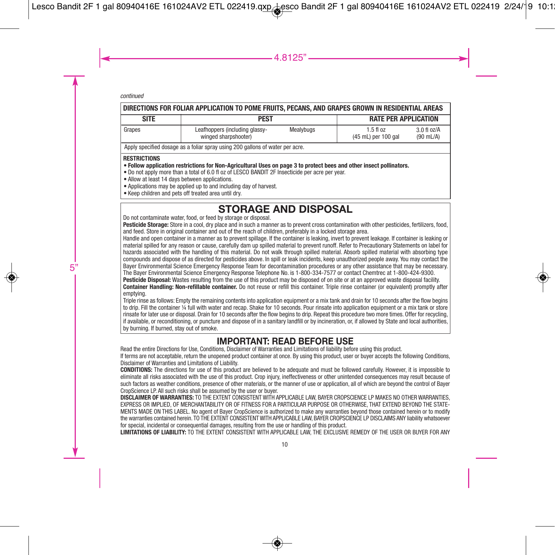| DIRECTIONS FOR FOLIAR APPLICATION TO POME FRUITS, PECANS, AND GRAPES GROWN IN RESIDENTIAL AREAS |                                                        |           |                                    |                                      |  |
|-------------------------------------------------------------------------------------------------|--------------------------------------------------------|-----------|------------------------------------|--------------------------------------|--|
| <b>SITE</b>                                                                                     | <b>PEST</b>                                            |           | <b>RATE PER APPLICATION</b>        |                                      |  |
| Grapes                                                                                          | Leafhoppers (including glassy-<br>winged sharpshooter) | Mealybugs | $1.5f$ l oz<br>(45 mL) per 100 gal | $3.0$ fl oz/A<br>$(90 \text{ mL/A})$ |  |
| Apply specified dosage as a foliar spray using 200 gallons of water per acre.                   |                                                        |           |                                    |                                      |  |

#### **RESTRICTIONS**

- . Follow application restrictions for Non-Agricultural Uses on page 3 to protect bees and other insect pollinators.
- Do not apply more than a total of 6.0 fl oz of LESCO BANDIT 2F Insecticide per acre per year.
- Allow at least 14 days between applications.
- Applications may be applied up to and including day of harvest.
- Keep children and pets off treated area until dry.

# **STORAGE AND DISPOSAL** Do not contaminate water, food, or feed by storage or disposal.

**Pesticide Storage:** Store in a cool, dry place and in such a manner as to prevent cross contamination with other pesticides, fertilizers, food, and feed. Store in original container and out of the reach of children, preferably in a locked storage area.

Handle and open container in a manner as to prevent spillage. If the container is leaking, invert to prevent leakage. If container is leaking or material spilled for any reason or cause, carefully dam up spilled material to prevent runoff. Refer to Precautionary Statements on label for hazards associated with the handling of this material. Do not walk through spilled material. Absorb spilled material with absorbing type compounds and dispose of as directed for pesticides above. In spill or leak incidents, keep unauthorized people away. You may contact the Bayer Environmental Science Emergency Response Team for decontamination procedures or any other assistance that may be necessary. The Bayer Environmental Science Emergency Response Telephone No. is 1-800-334-7577 or contact Chemtrec at 1-800-424-9300.

**Pesticide Disposal:** Wastes resulting from the use of this product may be disposed of on site or at an approved waste disposal facility.

**Container Handling: Non-refillable container.** Do not reuse or refill this container. Triple rinse container (or equivalent) promptly after emptying.

Triple rinse as follows: Empty the remaining contents into application equipment or a mix tank and drain for 10 seconds after the flow begins to drip. Fill the container ¼ full with water and recap. Shake for 10 seconds. Pour rinsate into application equipment or a mix tank or store rinsate for later use or disposal. Drain for 10 seconds after the flow begins to drip. Repeat this procedure two more times. Offer for recycling, if available, or reconditioning, or puncture and dispose of in a sanitary landfill or by incineration, or, if allowed by State and local authorities, by burning. If burned, stay out of smoke.

# **IMPORTANT: READ BEFORE USE**

Read the entire Directions for Use, Conditions, Disclaimer of Warranties and Limitations of liability before using this product.

If terms are not acceptable, return the unopened product container at once. By using this product, user or buyer accepts the following Conditions, Disclaimer of Warranties and Limitations of Liability.

**CONDITIONS:** The directions for use of this product are believed to be adequate and must be followed carefully. However, it is impossible to eliminate all risks associated with the use of this product. Crop injury, ineffectiveness or other unintended consequences may result because of such factors as weather conditions, presence of other materials, or the manner of use or application, all of which are beyond the control of Bayer CropScience LP. All such risks shall be assumed by the user or buyer.

**DISCLAIMER OF WARRANTIES:** TO THE EXTENT CONSISTENT WITH APPLICABLE LAW, BAYER CROPSCIENCE LP MAKES NO OTHER WARRANTIES, EXPRESS OR IMPLIED, OF MERCHANTABILITY OR OF FITNESS FOR A PARTICULAR PURPOSE OR OTHERWISE, THAT EXTEND BEYOND THE STATE-MENTS MADE ON THIS LABEL. No agent of Bayer CropScience is authorized to make any warranties beyond those contained herein or to modify the warranties contained herein. TO THE EXTENT CONSISTENT WITH APPLICABLE LAW, BAYER CROPSCIENCE LP DISCLAIMS ANY liability whatsoever for special, incidental or consequential damages, resulting from the use or handling of this product.

**LIMITATIONS OF LIABILITY:** TO THE EXTENT CONSISTENT WITH APPLICABLE LAW, THE EXCLUSIVE REMEDY OF THE USER OR BUYER FOR ANY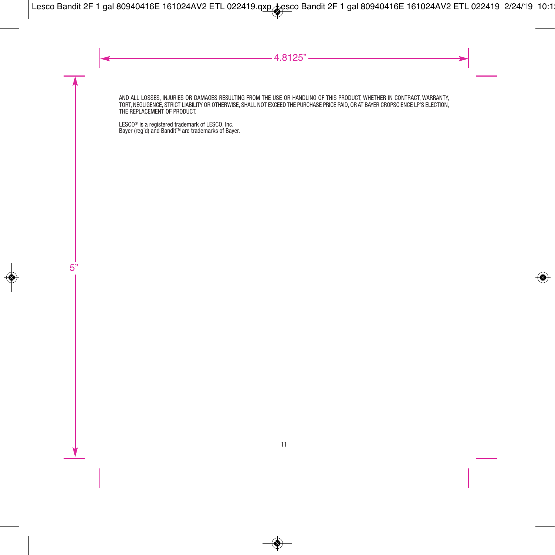AND ALL LOSSES, INJURIES OR DAMAGES RESULTING FROM THE USE OR HANDLING OF THIS PRODUCT, WHETHER IN CONTRACT, WARRANTY TORT, NEGLIGENCE, STRICT LIABILITY OR OTHERWISE, SHALL NOT EXCEED THE PURCHASE PRICE PAID, OR AT BAYER CROPSCIENCE LP'S ELECTION. THE REPLACEMENT OF PRODUCT.

LESC0® is a registered trademark of LESC0, Inc.<br>Bayer (reg'd) and Bandit™ are trademarks of Bayer.